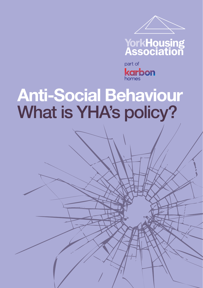



part of **karbon** 

### **Anti-Social Behaviour** What is YHA's policy?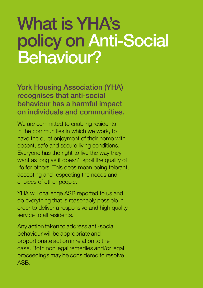#### What is YHA's policy on Anti-Social Behaviour?

York Housing Association (YHA) recognises that anti-social behaviour has a harmful impact on individuals and communities.

We are committed to enabling residents in the communities in which we work, to have the quiet enjoyment of their home with decent, safe and secure living conditions. Everyone has the right to live the way they want as long as it doesn't spoil the quality of life for others. This does mean being tolerant, accepting and respecting the needs and choices of other people.

YHA will challenge ASB reported to us and do everything that is reasonably possible in order to deliver a responsive and high quality service to all residents.

Any action taken to address anti-social behaviour will be appropriate and proportionate action in relation to the case. Both non legal remedies and/or legal proceedings may be considered to resolve ASB.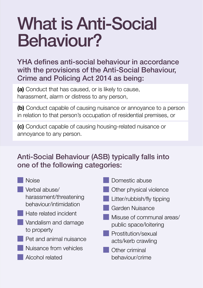### What is Anti-Social Behaviour?

YHA defines anti-social behaviour in accordance with the provisions of the Anti-Social Behaviour, Crime and Policing Act 2014 as being:

**(a)** Conduct that has caused, or is likely to cause, harassment, alarm or distress to any person,

**(b)** Conduct capable of causing nuisance or annoyance to a person in relation to that person's occupation of residential premises, or

**(c)** Conduct capable of causing housing-related nuisance or annoyance to any person.

#### Anti-Social Behaviour (ASB) typically falls into one of the following categories:

| <b>Noise</b>            | Domestic abuse             |
|-------------------------|----------------------------|
| Verbal abuse/           | Other physical violence    |
| harassment/threatening  | Litter/rubbish/fly tipping |
| behaviour/intimidation  | <b>Garden Nuisance</b>     |
| Hate related incident   | Misuse of communal areas/  |
| Vandalism and damage    | public space/loitering     |
| to property             | Prostitution/sexual        |
| Pet and animal nuisance | acts/kerb crawling         |
| Nuisance from vehicles  | Other criminal             |
| Alcohol related         | behaviour/crime            |
|                         |                            |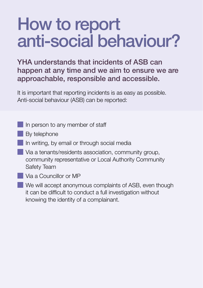### How to report anti-social behaviour?

#### YHA understands that incidents of ASB can happen at any time and we aim to ensure we are approachable, responsible and accessible.

It is important that reporting incidents is as easy as possible. Anti-social behaviour (ASB) can be reported:

- In person to any member of staff
- **By telephone**
- In writing, by email or through social media
- Via a tenants/residents association, community group, community representative or Local Authority Community Safety Team
- Via a Councillor or MP
- We will accept anonymous complaints of ASB, even though it can be difficult to conduct a full investigation without knowing the identity of a complainant.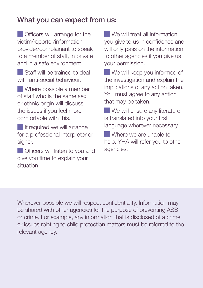#### What you can expect from us:

**Officers will arrange for the** victim/reporter/information provider/complainant to speak to a member of staff, in private and in a safe environment.

**Staff will be trained to deal** with anti-social behaviour.

 Where possible a member of staff who is the same sex or ethnic origin will discuss the issues if you feel more comfortable with this.

**If required we will arrange** for a professional interpreter or signer.

**Officers will listen to you and** give you time to explain your situation.

We will treat all information you give to us in confidence and will only pass on the information to other agencies if you give us your permission.

We will keep you informed of the investigation and explain the implications of any action taken. You must agree to any action that may be taken.

We will ensure any literature is translated into your first language wherever necessary.

Where we are unable to help, YHA will refer you to other agencies.

Wherever possible we will respect confidentiality. Information may be shared with other agencies for the purpose of preventing ASB or crime. For example, any information that is disclosed of a crime or issues relating to child protection matters must be referred to the relevant agency.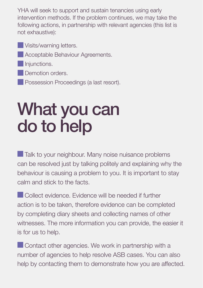YHA will seek to support and sustain tenancies using early intervention methods. If the problem continues, we may take the following actions, in partnership with relevant agencies (this list is not exhaustive):

**Visits/warning letters. Acceptable Behaviour Agreements.** Injunctions. Demotion orders. **Possession Proceedings (a last resort).** 

What you can

# do to help

Talk to your neighbour. Many noise nuisance problems can be resolved just by talking politely and explaining why the behaviour is causing a problem to you. It is important to stay calm and stick to the facts.

**Collect evidence.** Evidence will be needed if further action is to be taken, therefore evidence can be completed by completing diary sheets and collecting names of other witnesses. The more information you can provide, the easier it is for us to help.

**Contact other agencies. We work in partnership with a** number of agencies to help resolve ASB cases. You can also help by contacting them to demonstrate how you are affected.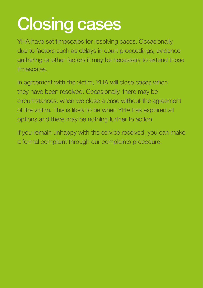## Closing cases

YHA have set timescales for resolving cases. Occasionally, due to factors such as delays in court proceedings, evidence gathering or other factors it may be necessary to extend those timescales.

In agreement with the victim, YHA will close cases when they have been resolved. Occasionally, there may be circumstances, when we close a case without the agreement of the victim. This is likely to be when YHA has explored all options and there may be nothing further to action.

If you remain unhappy with the service received, you can make a formal complaint through our complaints procedure.